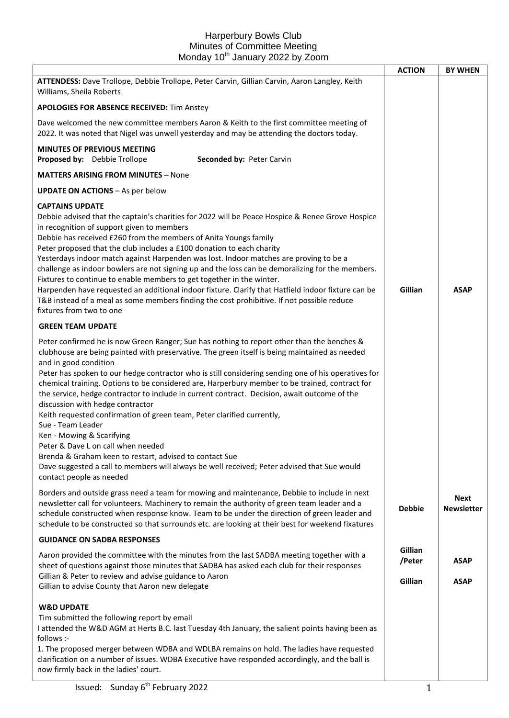|                                                                                                                                                                                                                                                                                                                                                                                                                                                                                                                                                                                                                                                                                                                                                                                                                                                                                                                           | <b>ACTION</b>                | <b>BY WHEN</b>                   |
|---------------------------------------------------------------------------------------------------------------------------------------------------------------------------------------------------------------------------------------------------------------------------------------------------------------------------------------------------------------------------------------------------------------------------------------------------------------------------------------------------------------------------------------------------------------------------------------------------------------------------------------------------------------------------------------------------------------------------------------------------------------------------------------------------------------------------------------------------------------------------------------------------------------------------|------------------------------|----------------------------------|
| ATTENDESS: Dave Trollope, Debbie Trollope, Peter Carvin, Gillian Carvin, Aaron Langley, Keith<br>Williams, Sheila Roberts                                                                                                                                                                                                                                                                                                                                                                                                                                                                                                                                                                                                                                                                                                                                                                                                 |                              |                                  |
| <b>APOLOGIES FOR ABSENCE RECEIVED: Tim Anstey</b>                                                                                                                                                                                                                                                                                                                                                                                                                                                                                                                                                                                                                                                                                                                                                                                                                                                                         |                              |                                  |
| Dave welcomed the new committee members Aaron & Keith to the first committee meeting of<br>2022. It was noted that Nigel was unwell yesterday and may be attending the doctors today.                                                                                                                                                                                                                                                                                                                                                                                                                                                                                                                                                                                                                                                                                                                                     |                              |                                  |
| <b>MINUTES OF PREVIOUS MEETING</b><br>Proposed by: Debbie Trollope<br>Seconded by: Peter Carvin                                                                                                                                                                                                                                                                                                                                                                                                                                                                                                                                                                                                                                                                                                                                                                                                                           |                              |                                  |
| <b>MATTERS ARISING FROM MINUTES - None</b>                                                                                                                                                                                                                                                                                                                                                                                                                                                                                                                                                                                                                                                                                                                                                                                                                                                                                |                              |                                  |
| <b>UPDATE ON ACTIONS - As per below</b>                                                                                                                                                                                                                                                                                                                                                                                                                                                                                                                                                                                                                                                                                                                                                                                                                                                                                   |                              |                                  |
| <b>CAPTAINS UPDATE</b><br>Debbie advised that the captain's charities for 2022 will be Peace Hospice & Renee Grove Hospice<br>in recognition of support given to members<br>Debbie has received £260 from the members of Anita Youngs family<br>Peter proposed that the club includes a £100 donation to each charity<br>Yesterdays indoor match against Harpenden was lost. Indoor matches are proving to be a<br>challenge as indoor bowlers are not signing up and the loss can be demoralizing for the members.<br>Fixtures to continue to enable members to get together in the winter.<br>Harpenden have requested an additional indoor fixture. Clarify that Hatfield indoor fixture can be<br>T&B instead of a meal as some members finding the cost prohibitive. If not possible reduce<br>fixtures from two to one                                                                                              | Gillian                      | <b>ASAP</b>                      |
| <b>GREEN TEAM UPDATE</b>                                                                                                                                                                                                                                                                                                                                                                                                                                                                                                                                                                                                                                                                                                                                                                                                                                                                                                  |                              |                                  |
| Peter confirmed he is now Green Ranger; Sue has nothing to report other than the benches &<br>clubhouse are being painted with preservative. The green itself is being maintained as needed<br>and in good condition<br>Peter has spoken to our hedge contractor who is still considering sending one of his operatives for<br>chemical training. Options to be considered are, Harperbury member to be trained, contract for<br>the service, hedge contractor to include in current contract. Decision, await outcome of the<br>discussion with hedge contractor<br>Keith requested confirmation of green team, Peter clarified currently,<br>Sue - Team Leader<br>Ken - Mowing & Scarifying<br>Peter & Dave L on call when needed<br>Brenda & Graham keen to restart, advised to contact Sue<br>Dave suggested a call to members will always be well received; Peter advised that Sue would<br>contact people as needed |                              |                                  |
| Borders and outside grass need a team for mowing and maintenance, Debbie to include in next<br>newsletter call for volunteers. Machinery to remain the authority of green team leader and a<br>schedule constructed when response know. Team to be under the direction of green leader and<br>schedule to be constructed so that surrounds etc. are looking at their best for weekend fixatures                                                                                                                                                                                                                                                                                                                                                                                                                                                                                                                           | <b>Debbie</b>                | <b>Next</b><br><b>Newsletter</b> |
| <b>GUIDANCE ON SADBA RESPONSES</b>                                                                                                                                                                                                                                                                                                                                                                                                                                                                                                                                                                                                                                                                                                                                                                                                                                                                                        |                              |                                  |
| Aaron provided the committee with the minutes from the last SADBA meeting together with a<br>sheet of questions against those minutes that SADBA has asked each club for their responses<br>Gillian & Peter to review and advise guidance to Aaron<br>Gillian to advise County that Aaron new delegate                                                                                                                                                                                                                                                                                                                                                                                                                                                                                                                                                                                                                    | Gillian<br>/Peter<br>Gillian | <b>ASAP</b><br><b>ASAP</b>       |
| <b>W&amp;D UPDATE</b><br>Tim submitted the following report by email<br>I attended the W&D AGM at Herts B.C. last Tuesday 4th January, the salient points having been as<br>follows :-<br>1. The proposed merger between WDBA and WDLBA remains on hold. The ladies have requested<br>clarification on a number of issues. WDBA Executive have responded accordingly, and the ball is<br>now firmly back in the ladies' court.                                                                                                                                                                                                                                                                                                                                                                                                                                                                                            |                              |                                  |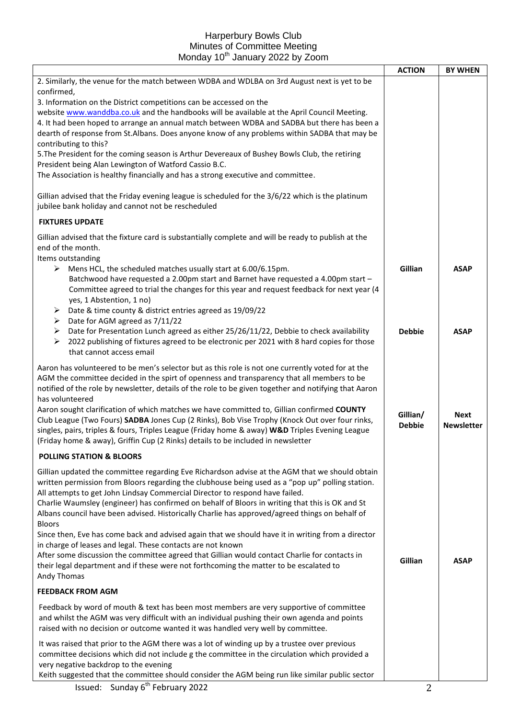|                                                                                                                                                                                                                                                                                                                                                                                                                                                                                                   | <b>ACTION</b>             | <b>BY WHEN</b>                   |
|---------------------------------------------------------------------------------------------------------------------------------------------------------------------------------------------------------------------------------------------------------------------------------------------------------------------------------------------------------------------------------------------------------------------------------------------------------------------------------------------------|---------------------------|----------------------------------|
| 2. Similarly, the venue for the match between WDBA and WDLBA on 3rd August next is yet to be<br>confirmed,                                                                                                                                                                                                                                                                                                                                                                                        |                           |                                  |
| 3. Information on the District competitions can be accessed on the<br>website www.wanddba.co.uk and the handbooks will be available at the April Council Meeting.<br>4. It had been hoped to arrange an annual match between WDBA and SADBA but there has been a<br>dearth of response from St.Albans. Does anyone know of any problems within SADBA that may be                                                                                                                                  |                           |                                  |
| contributing to this?<br>5. The President for the coming season is Arthur Devereaux of Bushey Bowls Club, the retiring<br>President being Alan Lewington of Watford Cassio B.C.<br>The Association is healthy financially and has a strong executive and committee.                                                                                                                                                                                                                               |                           |                                  |
| Gillian advised that the Friday evening league is scheduled for the 3/6/22 which is the platinum<br>jubilee bank holiday and cannot not be rescheduled                                                                                                                                                                                                                                                                                                                                            |                           |                                  |
| <b>FIXTURES UPDATE</b>                                                                                                                                                                                                                                                                                                                                                                                                                                                                            |                           |                                  |
| Gillian advised that the fixture card is substantially complete and will be ready to publish at the<br>end of the month.<br>Items outstanding                                                                                                                                                                                                                                                                                                                                                     |                           |                                  |
| Mens HCL, the scheduled matches usually start at 6.00/6.15pm.<br>➤<br>Batchwood have requested a 2.00pm start and Barnet have requested a 4.00pm start -<br>Committee agreed to trial the changes for this year and request feedback for next year (4<br>yes, 1 Abstention, 1 no)<br>Date & time county & district entries agreed as 19/09/22<br>➤<br>Date for AGM agreed as 7/11/22<br>≻                                                                                                         | Gillian                   | <b>ASAP</b>                      |
| Date for Presentation Lunch agreed as either 25/26/11/22, Debbie to check availability<br>➤<br>2022 publishing of fixtures agreed to be electronic per 2021 with 8 hard copies for those<br>➤<br>that cannot access email                                                                                                                                                                                                                                                                         | <b>Debbie</b>             | <b>ASAP</b>                      |
| Aaron has volunteered to be men's selector but as this role is not one currently voted for at the<br>AGM the committee decided in the spirt of openness and transparency that all members to be<br>notified of the role by newsletter, details of the role to be given together and notifying that Aaron<br>has volunteered                                                                                                                                                                       |                           |                                  |
| Aaron sought clarification of which matches we have committed to, Gillian confirmed COUNTY<br>Club League (Two Fours) SADBA Jones Cup (2 Rinks), Bob Vise Trophy (Knock Out over four rinks,<br>singles, pairs, triples & fours, Triples League (Friday home & away) W&D Triples Evening League<br>(Friday home & away), Griffin Cup (2 Rinks) details to be included in newsletter                                                                                                               | Gillian/<br><b>Debbie</b> | <b>Next</b><br><b>Newsletter</b> |
| <b>POLLING STATION &amp; BLOORS</b>                                                                                                                                                                                                                                                                                                                                                                                                                                                               |                           |                                  |
| Gillian updated the committee regarding Eve Richardson advise at the AGM that we should obtain<br>written permission from Bloors regarding the clubhouse being used as a "pop up" polling station.<br>All attempts to get John Lindsay Commercial Director to respond have failed.<br>Charlie Waumsley (engineer) has confirmed on behalf of Bloors in writing that this is OK and St<br>Albans council have been advised. Historically Charlie has approved/agreed things on behalf of<br>Bloors |                           |                                  |
| Since then, Eve has come back and advised again that we should have it in writing from a director<br>in charge of leases and legal. These contacts are not known<br>After some discussion the committee agreed that Gillian would contact Charlie for contacts in<br>their legal department and if these were not forthcoming the matter to be escalated to<br>Andy Thomas                                                                                                                        | Gillian                   | <b>ASAP</b>                      |
| <b>FEEDBACK FROM AGM</b>                                                                                                                                                                                                                                                                                                                                                                                                                                                                          |                           |                                  |
| Feedback by word of mouth & text has been most members are very supportive of committee<br>and whilst the AGM was very difficult with an individual pushing their own agenda and points<br>raised with no decision or outcome wanted it was handled very well by committee.                                                                                                                                                                                                                       |                           |                                  |
| It was raised that prior to the AGM there was a lot of winding up by a trustee over previous<br>committee decisions which did not include g the committee in the circulation which provided a<br>very negative backdrop to the evening<br>Keith suggested that the committee should consider the AGM being run like similar public sector                                                                                                                                                         |                           |                                  |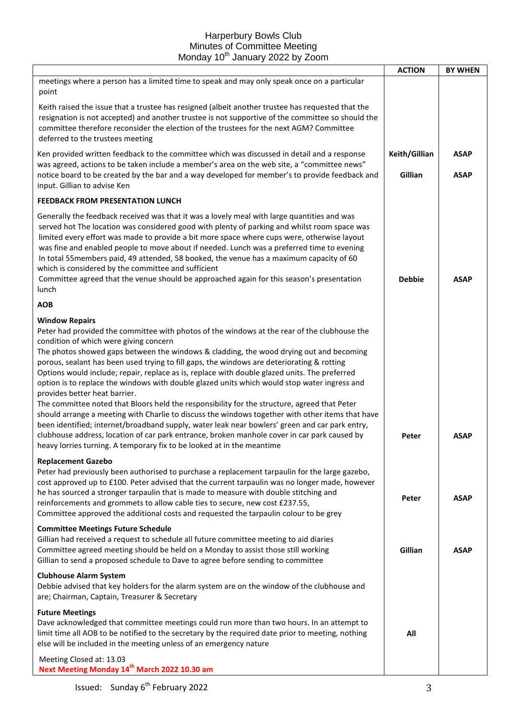|                                                                                                                                                                                                                                                                                                                                                                                                                                                                                                                                                                                                                                                                                                                                                                                                                                                                                                                                                                                                                                                                                                                                                                                                                                                                                                                                                                                                                                                                                                                                                                               | <b>ACTION</b>            | <b>BY WHEN</b>             |
|-------------------------------------------------------------------------------------------------------------------------------------------------------------------------------------------------------------------------------------------------------------------------------------------------------------------------------------------------------------------------------------------------------------------------------------------------------------------------------------------------------------------------------------------------------------------------------------------------------------------------------------------------------------------------------------------------------------------------------------------------------------------------------------------------------------------------------------------------------------------------------------------------------------------------------------------------------------------------------------------------------------------------------------------------------------------------------------------------------------------------------------------------------------------------------------------------------------------------------------------------------------------------------------------------------------------------------------------------------------------------------------------------------------------------------------------------------------------------------------------------------------------------------------------------------------------------------|--------------------------|----------------------------|
| meetings where a person has a limited time to speak and may only speak once on a particular<br>point                                                                                                                                                                                                                                                                                                                                                                                                                                                                                                                                                                                                                                                                                                                                                                                                                                                                                                                                                                                                                                                                                                                                                                                                                                                                                                                                                                                                                                                                          |                          |                            |
| Keith raised the issue that a trustee has resigned (albeit another trustee has requested that the<br>resignation is not accepted) and another trustee is not supportive of the committee so should the<br>committee therefore reconsider the election of the trustees for the next AGM? Committee<br>deferred to the trustees meeting                                                                                                                                                                                                                                                                                                                                                                                                                                                                                                                                                                                                                                                                                                                                                                                                                                                                                                                                                                                                                                                                                                                                                                                                                                         |                          |                            |
| Ken provided written feedback to the committee which was discussed in detail and a response<br>was agreed, actions to be taken include a member's area on the web site, a "committee news"<br>notice board to be created by the bar and a way developed for member's to provide feedback and<br>input. Gillian to advise Ken                                                                                                                                                                                                                                                                                                                                                                                                                                                                                                                                                                                                                                                                                                                                                                                                                                                                                                                                                                                                                                                                                                                                                                                                                                                  | Keith/Gillian<br>Gillian | <b>ASAP</b><br><b>ASAP</b> |
| FEEDBACK FROM PRESENTATION LUNCH                                                                                                                                                                                                                                                                                                                                                                                                                                                                                                                                                                                                                                                                                                                                                                                                                                                                                                                                                                                                                                                                                                                                                                                                                                                                                                                                                                                                                                                                                                                                              |                          |                            |
| Generally the feedback received was that it was a lovely meal with large quantities and was<br>served hot The location was considered good with plenty of parking and whilst room space was<br>limited every effort was made to provide a bit more space where cups were, otherwise layout<br>was fine and enabled people to move about if needed. Lunch was a preferred time to evening<br>In total 55 members paid, 49 attended, 58 booked, the venue has a maximum capacity of 60<br>which is considered by the committee and sufficient<br>Committee agreed that the venue should be approached again for this season's presentation<br>lunch                                                                                                                                                                                                                                                                                                                                                                                                                                                                                                                                                                                                                                                                                                                                                                                                                                                                                                                             | <b>Debbie</b>            | <b>ASAP</b>                |
| <b>AOB</b>                                                                                                                                                                                                                                                                                                                                                                                                                                                                                                                                                                                                                                                                                                                                                                                                                                                                                                                                                                                                                                                                                                                                                                                                                                                                                                                                                                                                                                                                                                                                                                    |                          |                            |
| <b>Window Repairs</b><br>Peter had provided the committee with photos of the windows at the rear of the clubhouse the<br>condition of which were giving concern<br>The photos showed gaps between the windows & cladding, the wood drying out and becoming<br>porous, sealant has been used trying to fill gaps, the windows are deteriorating & rotting<br>Options would include; repair, replace as is, replace with double glazed units. The preferred<br>option is to replace the windows with double glazed units which would stop water ingress and<br>provides better heat barrier.<br>The committee noted that Bloors held the responsibility for the structure, agreed that Peter<br>should arrange a meeting with Charlie to discuss the windows together with other items that have<br>been identified; internet/broadband supply, water leak near bowlers' green and car park entry,<br>clubhouse address, location of car park entrance, broken manhole cover in car park caused by<br>heavy lorries turning. A temporary fix to be looked at in the meantime<br><b>Replacement Gazebo</b><br>Peter had previously been authorised to purchase a replacement tarpaulin for the large gazebo,<br>cost approved up to £100. Peter advised that the current tarpaulin was no longer made, however<br>he has sourced a stronger tarpaulin that is made to measure with double stitching and<br>reinforcements and grommets to allow cable ties to secure, new cost £237.55,<br>Committee approved the additional costs and requested the tarpaulin colour to be grey | Peter<br>Peter           | <b>ASAP</b><br>ASAP        |
| <b>Committee Meetings Future Schedule</b><br>Gillian had received a request to schedule all future committee meeting to aid diaries<br>Committee agreed meeting should be held on a Monday to assist those still working<br>Gillian to send a proposed schedule to Dave to agree before sending to committee                                                                                                                                                                                                                                                                                                                                                                                                                                                                                                                                                                                                                                                                                                                                                                                                                                                                                                                                                                                                                                                                                                                                                                                                                                                                  | Gillian                  | <b>ASAP</b>                |
| <b>Clubhouse Alarm System</b><br>Debbie advised that key holders for the alarm system are on the window of the clubhouse and<br>are; Chairman, Captain, Treasurer & Secretary                                                                                                                                                                                                                                                                                                                                                                                                                                                                                                                                                                                                                                                                                                                                                                                                                                                                                                                                                                                                                                                                                                                                                                                                                                                                                                                                                                                                 |                          |                            |
| <b>Future Meetings</b><br>Dave acknowledged that committee meetings could run more than two hours. In an attempt to<br>limit time all AOB to be notified to the secretary by the required date prior to meeting, nothing<br>else will be included in the meeting unless of an emergency nature                                                                                                                                                                                                                                                                                                                                                                                                                                                                                                                                                                                                                                                                                                                                                                                                                                                                                                                                                                                                                                                                                                                                                                                                                                                                                | All                      |                            |
| Meeting Closed at: 13.03<br>Next Meeting Monday 14 <sup>th</sup> March 2022 10.30 am                                                                                                                                                                                                                                                                                                                                                                                                                                                                                                                                                                                                                                                                                                                                                                                                                                                                                                                                                                                                                                                                                                                                                                                                                                                                                                                                                                                                                                                                                          |                          |                            |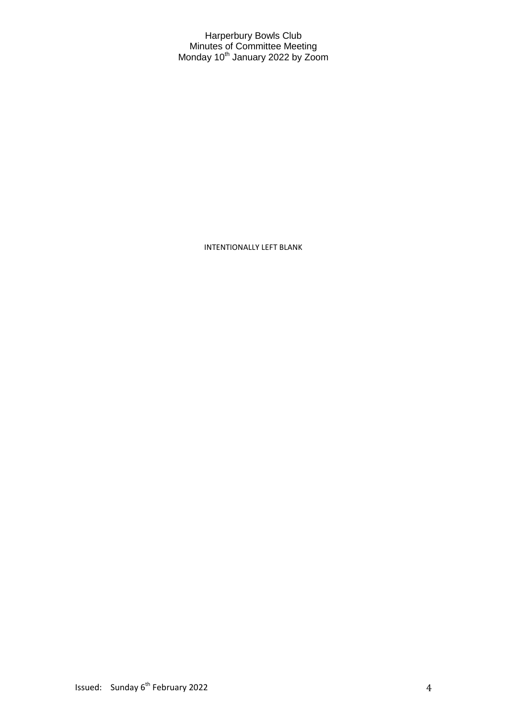INTENTIONALLY LEFT BLANK